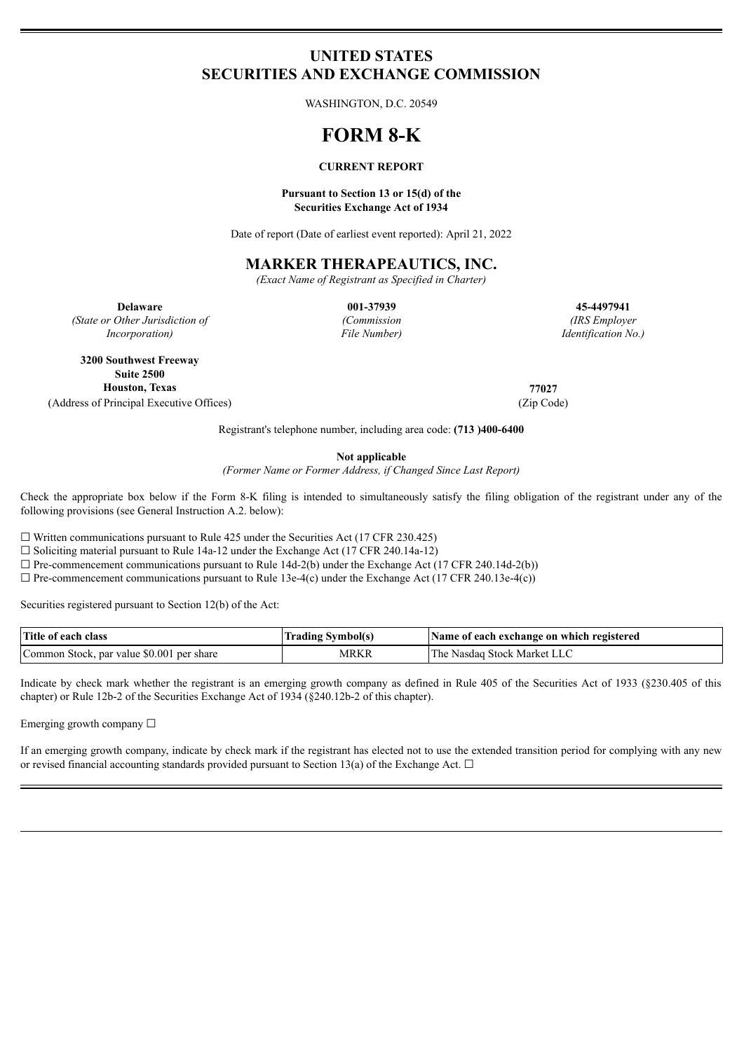# **UNITED STATES SECURITIES AND EXCHANGE COMMISSION**

WASHINGTON, D.C. 20549

# **FORM 8-K**

### **CURRENT REPORT**

#### **Pursuant to Section 13 or 15(d) of the Securities Exchange Act of 1934**

Date of report (Date of earliest event reported): April 21, 2022

## **MARKER THERAPEAUTICS, INC.**

*(Exact Name of Registrant as Specified in Charter)*

*(State or Other Jurisdiction of Incorporation)*

*(Commission File Number)*

**Delaware 001-37939 45-4497941** *(IRS Employer Identification No.)*

**3200 Southwest Freeway Suite 2500 Houston, Texas 77027** (Address of Principal Executive Offices) (Zip Code)

Registrant's telephone number, including area code: **(713 )400-6400**

**Not applicable**

*(Former Name or Former Address, if Changed Since Last Report)*

Check the appropriate box below if the Form 8-K filing is intended to simultaneously satisfy the filing obligation of the registrant under any of the following provisions (see General Instruction A.2. below):

 $\Box$  Written communications pursuant to Rule 425 under the Securities Act (17 CFR 230.425)

☐ Soliciting material pursuant to Rule 14a-12 under the Exchange Act (17 CFR 240.14a-12)

 $\Box$  Pre-commencement communications pursuant to Rule 14d-2(b) under the Exchange Act (17 CFR 240.14d-2(b))

 $\Box$  Pre-commencement communications pursuant to Rule 13e-4(c) under the Exchange Act (17 CFR 240.13e-4(c))

Securities registered pursuant to Section 12(b) of the Act:

| Title of each class                       | Trading Symbol(s) | Name of each exchange on which registered |
|-------------------------------------------|-------------------|-------------------------------------------|
| Common Stock, par value \$0.001 per share | MRKP              | The Nasdag Stock Market LLC               |

Indicate by check mark whether the registrant is an emerging growth company as defined in Rule 405 of the Securities Act of 1933 (§230.405 of this chapter) or Rule 12b-2 of the Securities Exchange Act of 1934 (§240.12b-2 of this chapter).

Emerging growth company  $\Box$ 

If an emerging growth company, indicate by check mark if the registrant has elected not to use the extended transition period for complying with any new or revised financial accounting standards provided pursuant to Section 13(a) of the Exchange Act.  $\Box$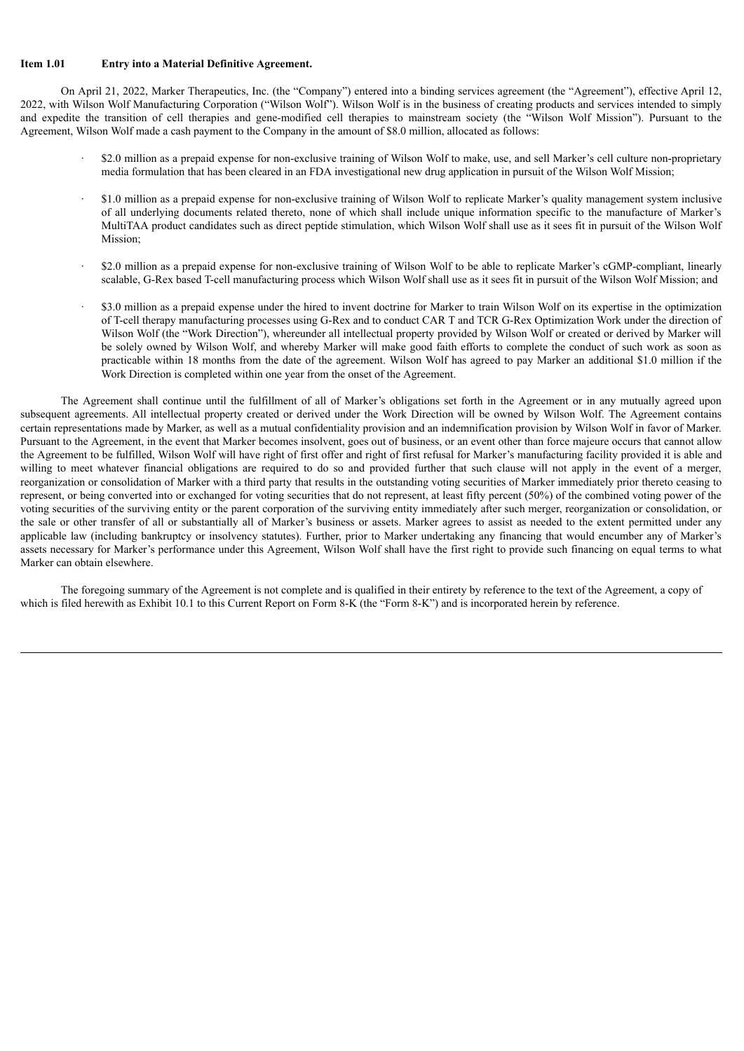#### **Item 1.01 Entry into a Material Definitive Agreement.**

On April 21, 2022, Marker Therapeutics, Inc. (the "Company") entered into a binding services agreement (the "Agreement"), effective April 12, 2022, with Wilson Wolf Manufacturing Corporation ("Wilson Wolf"). Wilson Wolf is in the business of creating products and services intended to simply and expedite the transition of cell therapies and gene-modified cell therapies to mainstream society (the "Wilson Wolf Mission"). Pursuant to the Agreement, Wilson Wolf made a cash payment to the Company in the amount of \$8.0 million, allocated as follows:

- · \$2.0 million as a prepaid expense for non-exclusive training of Wilson Wolf to make, use, and sell Marker's cell culture non-proprietary media formulation that has been cleared in an FDA investigational new drug application in pursuit of the Wilson Wolf Mission;
- · \$1.0 million as a prepaid expense for non-exclusive training of Wilson Wolf to replicate Marker's quality management system inclusive of all underlying documents related thereto, none of which shall include unique information specific to the manufacture of Marker's MultiTAA product candidates such as direct peptide stimulation, which Wilson Wolf shall use as it sees fit in pursuit of the Wilson Wolf Mission;
- · \$2.0 million as a prepaid expense for non-exclusive training of Wilson Wolf to be able to replicate Marker's cGMP-compliant, linearly scalable, G-Rex based T-cell manufacturing process which Wilson Wolf shall use as it sees fit in pursuit of the Wilson Wolf Mission; and
- · \$3.0 million as a prepaid expense under the hired to invent doctrine for Marker to train Wilson Wolf on its expertise in the optimization of T-cell therapy manufacturing processes using G-Rex and to conduct CAR T and TCR G-Rex Optimization Work under the direction of Wilson Wolf (the "Work Direction"), whereunder all intellectual property provided by Wilson Wolf or created or derived by Marker will be solely owned by Wilson Wolf, and whereby Marker will make good faith efforts to complete the conduct of such work as soon as practicable within 18 months from the date of the agreement. Wilson Wolf has agreed to pay Marker an additional \$1.0 million if the Work Direction is completed within one year from the onset of the Agreement.

The Agreement shall continue until the fulfillment of all of Marker's obligations set forth in the Agreement or in any mutually agreed upon subsequent agreements. All intellectual property created or derived under the Work Direction will be owned by Wilson Wolf. The Agreement contains certain representations made by Marker, as well as a mutual confidentiality provision and an indemnification provision by Wilson Wolf in favor of Marker. Pursuant to the Agreement, in the event that Marker becomes insolvent, goes out of business, or an event other than force majeure occurs that cannot allow the Agreement to be fulfilled, Wilson Wolf will have right of first offer and right of first refusal for Marker's manufacturing facility provided it is able and willing to meet whatever financial obligations are required to do so and provided further that such clause will not apply in the event of a merger, reorganization or consolidation of Marker with a third party that results in the outstanding voting securities of Marker immediately prior thereto ceasing to represent, or being converted into or exchanged for voting securities that do not represent, at least fifty percent (50%) of the combined voting power of the voting securities of the surviving entity or the parent corporation of the surviving entity immediately after such merger, reorganization or consolidation, or the sale or other transfer of all or substantially all of Marker's business or assets. Marker agrees to assist as needed to the extent permitted under any applicable law (including bankruptcy or insolvency statutes). Further, prior to Marker undertaking any financing that would encumber any of Marker's assets necessary for Marker's performance under this Agreement, Wilson Wolf shall have the first right to provide such financing on equal terms to what Marker can obtain elsewhere.

The foregoing summary of the Agreement is not complete and is qualified in their entirety by reference to the text of the Agreement, a copy of which is filed herewith as Exhibit 10.1 to this Current Report on Form 8-K (the "Form 8-K") and is incorporated herein by reference.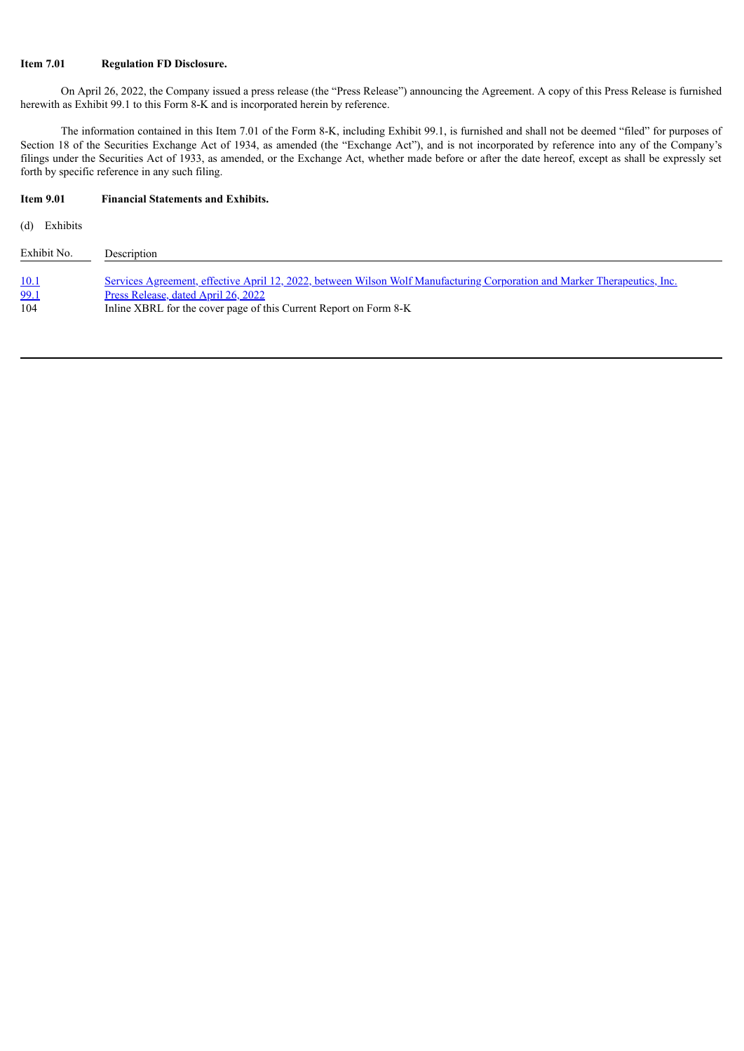### **Item 7.01 Regulation FD Disclosure.**

On April 26, 2022, the Company issued a press release (the "Press Release") announcing the Agreement. A copy of this Press Release is furnished herewith as Exhibit 99.1 to this Form 8-K and is incorporated herein by reference.

The information contained in this Item 7.01 of the Form 8-K, including Exhibit 99.1, is furnished and shall not be deemed "filed" for purposes of Section 18 of the Securities Exchange Act of 1934, as amended (the "Exchange Act"), and is not incorporated by reference into any of the Company's filings under the Securities Act of 1933, as amended, or the Exchange Act, whether made before or after the date hereof, except as shall be expressly set forth by specific reference in any such filing.

# **Item 9.01 Financial Statements and Exhibits.**

(d) Exhibits

| Exhibit No. | Description                                                                                                               |
|-------------|---------------------------------------------------------------------------------------------------------------------------|
| <u>10.1</u> | Services Agreement, effective April 12, 2022, between Wilson Wolf Manufacturing Corporation and Marker Therapeutics, Inc. |
| <u>99.1</u> | Press Release, dated April 26, 2022                                                                                       |
| 104         | Inline XBRL for the cover page of this Current Report on Form 8-K                                                         |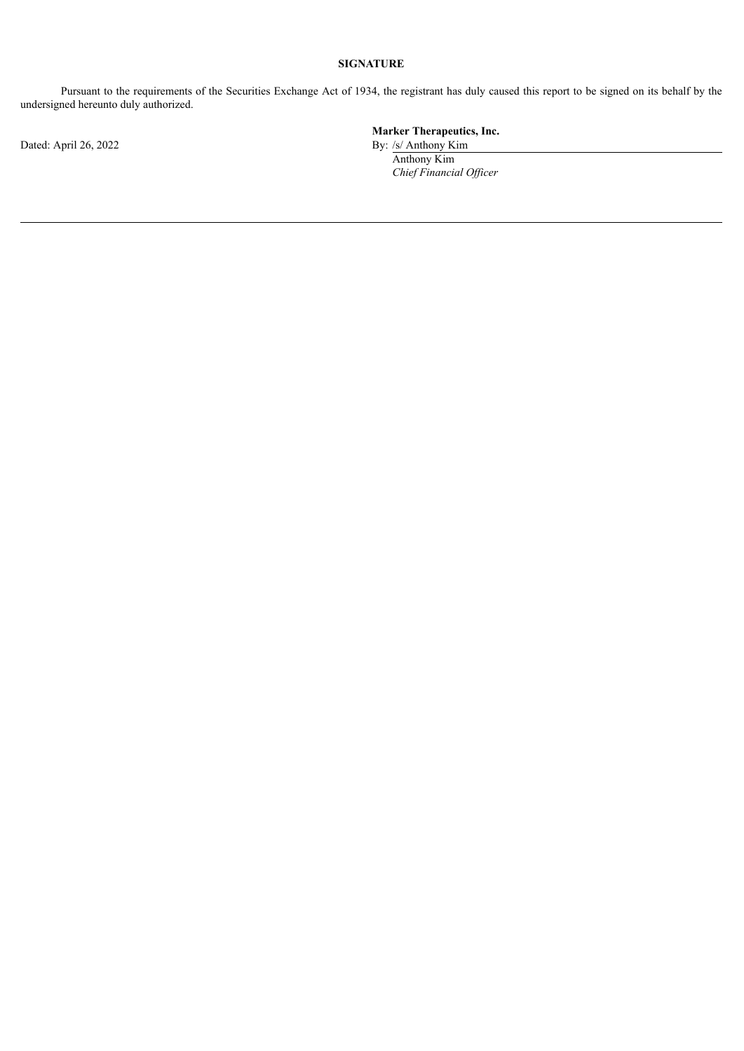## **SIGNATURE**

Pursuant to the requirements of the Securities Exchange Act of 1934, the registrant has duly caused this report to be signed on its behalf by the undersigned hereunto duly authorized.

Dated: April 26, 2022 By: /s/ Anthony Kim

# **Marker Therapeutics, Inc.**

Anthony Kim *Chief Financial Of icer*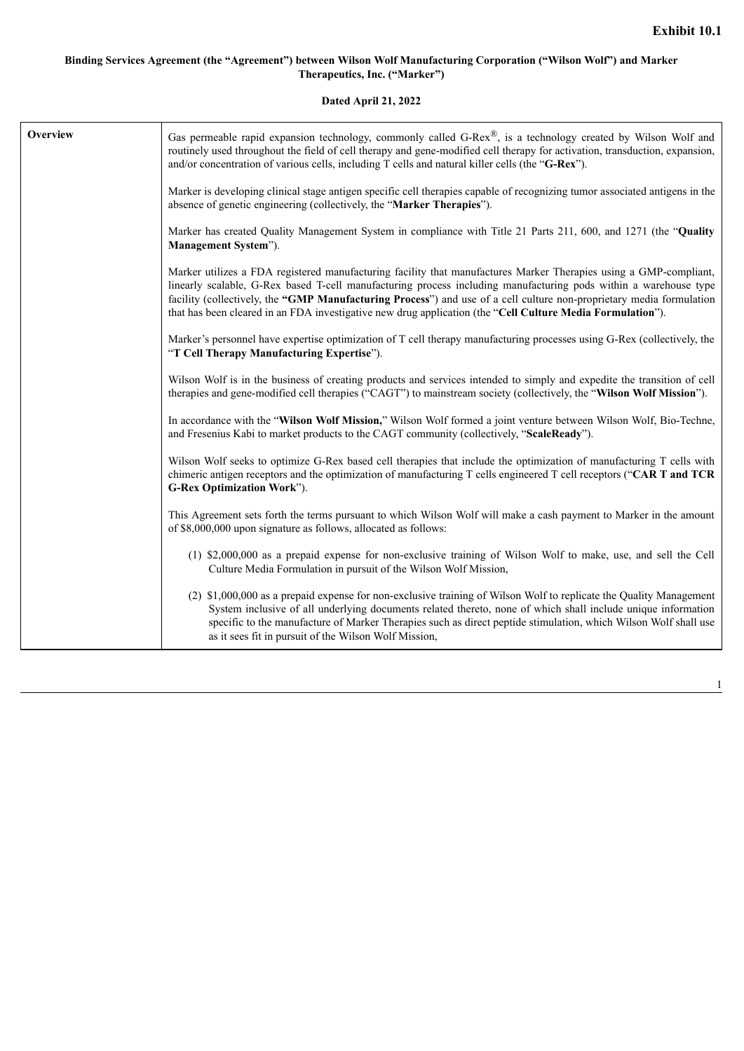## <span id="page-4-0"></span>**Binding Services Agreement (the "Agreement") between Wilson Wolf Manufacturing Corporation ("Wilson Wolf") and Marker Therapeutics, Inc. ("Marker")**

**Dated April 21, 2022**

| Overview | Gas permeable rapid expansion technology, commonly called G-Rex $^{\circledR}$ , is a technology created by Wilson Wolf and<br>routinely used throughout the field of cell therapy and gene-modified cell therapy for activation, transduction, expansion,<br>and/or concentration of various cells, including T cells and natural killer cells (the "G-Rex").                                                                                                              |
|----------|-----------------------------------------------------------------------------------------------------------------------------------------------------------------------------------------------------------------------------------------------------------------------------------------------------------------------------------------------------------------------------------------------------------------------------------------------------------------------------|
|          | Marker is developing clinical stage antigen specific cell therapies capable of recognizing tumor associated antigens in the<br>absence of genetic engineering (collectively, the "Marker Therapies").                                                                                                                                                                                                                                                                       |
|          | Marker has created Quality Management System in compliance with Title 21 Parts 211, 600, and 1271 (the "Quality<br>Management System").                                                                                                                                                                                                                                                                                                                                     |
|          | Marker utilizes a FDA registered manufacturing facility that manufactures Marker Therapies using a GMP-compliant,<br>linearly scalable, G-Rex based T-cell manufacturing process including manufacturing pods within a warehouse type<br>facility (collectively, the "GMP Manufacturing Process") and use of a cell culture non-proprietary media formulation<br>that has been cleared in an FDA investigative new drug application (the "Cell Culture Media Formulation"). |
|          | Marker's personnel have expertise optimization of T cell therapy manufacturing processes using G-Rex (collectively, the<br>"T Cell Therapy Manufacturing Expertise").                                                                                                                                                                                                                                                                                                       |
|          | Wilson Wolf is in the business of creating products and services intended to simply and expedite the transition of cell<br>therapies and gene-modified cell therapies ("CAGT") to mainstream society (collectively, the "Wilson Wolf Mission").                                                                                                                                                                                                                             |
|          | In accordance with the "Wilson Wolf Mission," Wilson Wolf formed a joint venture between Wilson Wolf, Bio-Techne,<br>and Fresenius Kabi to market products to the CAGT community (collectively, "ScaleReady").                                                                                                                                                                                                                                                              |
|          | Wilson Wolf seeks to optimize G-Rex based cell therapies that include the optimization of manufacturing T cells with<br>chimeric antigen receptors and the optimization of manufacturing T cells engineered T cell receptors ("CAR T and TCR<br>G-Rex Optimization Work").                                                                                                                                                                                                  |
|          | This Agreement sets forth the terms pursuant to which Wilson Wolf will make a cash payment to Marker in the amount<br>of \$8,000,000 upon signature as follows, allocated as follows:                                                                                                                                                                                                                                                                                       |
|          | (1) \$2,000,000 as a prepaid expense for non-exclusive training of Wilson Wolf to make, use, and sell the Cell<br>Culture Media Formulation in pursuit of the Wilson Wolf Mission,                                                                                                                                                                                                                                                                                          |
|          | (2) \$1,000,000 as a prepaid expense for non-exclusive training of Wilson Wolf to replicate the Quality Management<br>System inclusive of all underlying documents related thereto, none of which shall include unique information<br>specific to the manufacture of Marker Therapies such as direct peptide stimulation, which Wilson Wolf shall use<br>as it sees fit in pursuit of the Wilson Wolf Mission,                                                              |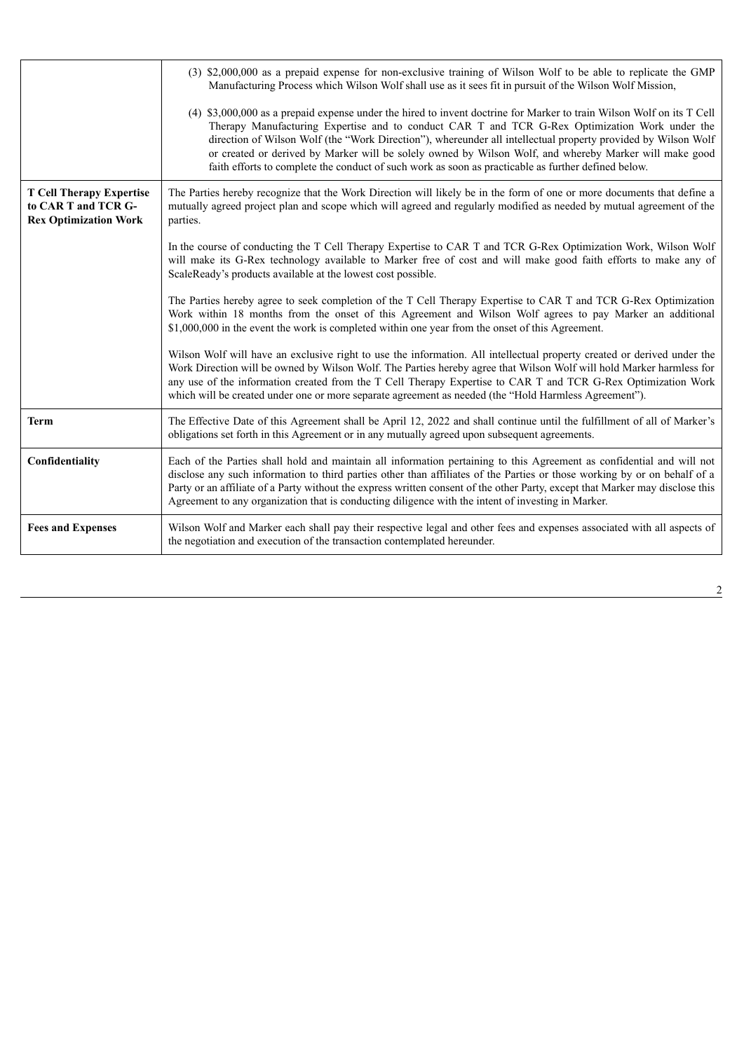|                                                                                        | (3) \$2,000,000 as a prepaid expense for non-exclusive training of Wilson Wolf to be able to replicate the GMP<br>Manufacturing Process which Wilson Wolf shall use as it sees fit in pursuit of the Wilson Wolf Mission,<br>(4) \$3,000,000 as a prepaid expense under the hired to invent doctrine for Marker to train Wilson Wolf on its T Cell<br>Therapy Manufacturing Expertise and to conduct CAR T and TCR G-Rex Optimization Work under the<br>direction of Wilson Wolf (the "Work Direction"), whereunder all intellectual property provided by Wilson Wolf<br>or created or derived by Marker will be solely owned by Wilson Wolf, and whereby Marker will make good<br>faith efforts to complete the conduct of such work as soon as practicable as further defined below. |
|----------------------------------------------------------------------------------------|----------------------------------------------------------------------------------------------------------------------------------------------------------------------------------------------------------------------------------------------------------------------------------------------------------------------------------------------------------------------------------------------------------------------------------------------------------------------------------------------------------------------------------------------------------------------------------------------------------------------------------------------------------------------------------------------------------------------------------------------------------------------------------------|
| <b>T Cell Therapy Expertise</b><br>to CAR T and TCR G-<br><b>Rex Optimization Work</b> | The Parties hereby recognize that the Work Direction will likely be in the form of one or more documents that define a<br>mutually agreed project plan and scope which will agreed and regularly modified as needed by mutual agreement of the<br>parties.                                                                                                                                                                                                                                                                                                                                                                                                                                                                                                                             |
|                                                                                        | In the course of conducting the T Cell Therapy Expertise to CAR T and TCR G-Rex Optimization Work, Wilson Wolf<br>will make its G-Rex technology available to Marker free of cost and will make good faith efforts to make any of<br>ScaleReady's products available at the lowest cost possible.                                                                                                                                                                                                                                                                                                                                                                                                                                                                                      |
|                                                                                        | The Parties hereby agree to seek completion of the T Cell Therapy Expertise to CAR T and TCR G-Rex Optimization<br>Work within 18 months from the onset of this Agreement and Wilson Wolf agrees to pay Marker an additional<br>\$1,000,000 in the event the work is completed within one year from the onset of this Agreement.                                                                                                                                                                                                                                                                                                                                                                                                                                                       |
|                                                                                        | Wilson Wolf will have an exclusive right to use the information. All intellectual property created or derived under the<br>Work Direction will be owned by Wilson Wolf. The Parties hereby agree that Wilson Wolf will hold Marker harmless for<br>any use of the information created from the T Cell Therapy Expertise to CAR T and TCR G-Rex Optimization Work<br>which will be created under one or more separate agreement as needed (the "Hold Harmless Agreement").                                                                                                                                                                                                                                                                                                              |
| <b>Term</b>                                                                            | The Effective Date of this Agreement shall be April 12, 2022 and shall continue until the fulfillment of all of Marker's<br>obligations set forth in this Agreement or in any mutually agreed upon subsequent agreements.                                                                                                                                                                                                                                                                                                                                                                                                                                                                                                                                                              |
| Confidentiality                                                                        | Each of the Parties shall hold and maintain all information pertaining to this Agreement as confidential and will not<br>disclose any such information to third parties other than affiliates of the Parties or those working by or on behalf of a<br>Party or an affiliate of a Party without the express written consent of the other Party, except that Marker may disclose this<br>Agreement to any organization that is conducting diligence with the intent of investing in Marker.                                                                                                                                                                                                                                                                                              |
| <b>Fees and Expenses</b>                                                               | Wilson Wolf and Marker each shall pay their respective legal and other fees and expenses associated with all aspects of<br>the negotiation and execution of the transaction contemplated hereunder.                                                                                                                                                                                                                                                                                                                                                                                                                                                                                                                                                                                    |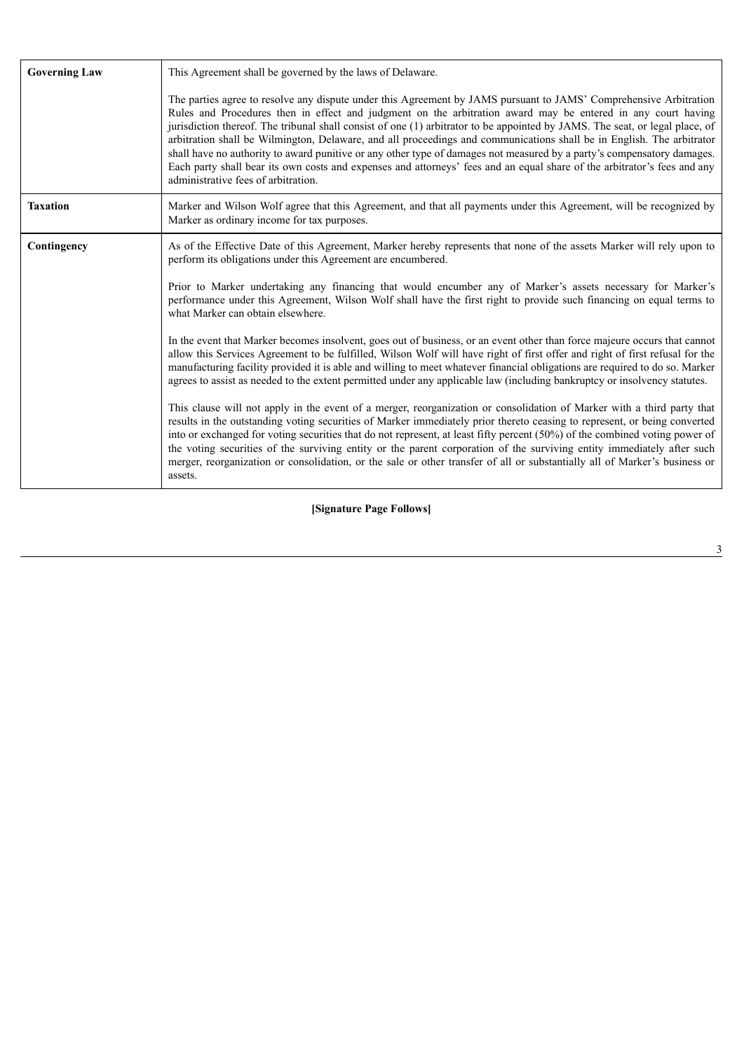| <b>Governing Law</b> | This Agreement shall be governed by the laws of Delaware.                                                                                                                                                                                                                                                                                                                                                                                                                                                                                                                                                                                                                                                                                                                               |  |
|----------------------|-----------------------------------------------------------------------------------------------------------------------------------------------------------------------------------------------------------------------------------------------------------------------------------------------------------------------------------------------------------------------------------------------------------------------------------------------------------------------------------------------------------------------------------------------------------------------------------------------------------------------------------------------------------------------------------------------------------------------------------------------------------------------------------------|--|
|                      | The parties agree to resolve any dispute under this Agreement by JAMS pursuant to JAMS' Comprehensive Arbitration<br>Rules and Procedures then in effect and judgment on the arbitration award may be entered in any court having<br>jurisdiction thereof. The tribunal shall consist of one (1) arbitrator to be appointed by JAMS. The seat, or legal place, of<br>arbitration shall be Wilmington, Delaware, and all proceedings and communications shall be in English. The arbitrator<br>shall have no authority to award punitive or any other type of damages not measured by a party's compensatory damages.<br>Each party shall bear its own costs and expenses and attorneys' fees and an equal share of the arbitrator's fees and any<br>administrative fees of arbitration. |  |
| <b>Taxation</b>      | Marker and Wilson Wolf agree that this Agreement, and that all payments under this Agreement, will be recognized by<br>Marker as ordinary income for tax purposes.                                                                                                                                                                                                                                                                                                                                                                                                                                                                                                                                                                                                                      |  |
| Contingency          | As of the Effective Date of this Agreement, Marker hereby represents that none of the assets Marker will rely upon to<br>perform its obligations under this Agreement are encumbered.                                                                                                                                                                                                                                                                                                                                                                                                                                                                                                                                                                                                   |  |
|                      | Prior to Marker undertaking any financing that would encumber any of Marker's assets necessary for Marker's<br>performance under this Agreement, Wilson Wolf shall have the first right to provide such financing on equal terms to<br>what Marker can obtain elsewhere.                                                                                                                                                                                                                                                                                                                                                                                                                                                                                                                |  |
|                      | In the event that Marker becomes insolvent, goes out of business, or an event other than force majeure occurs that cannot<br>allow this Services Agreement to be fulfilled, Wilson Wolf will have right of first offer and right of first refusal for the<br>manufacturing facility provided it is able and willing to meet whatever financial obligations are required to do so. Marker<br>agrees to assist as needed to the extent permitted under any applicable law (including bankruptcy or insolvency statutes.                                                                                                                                                                                                                                                                   |  |
|                      | This clause will not apply in the event of a merger, reorganization or consolidation of Marker with a third party that<br>results in the outstanding voting securities of Marker immediately prior thereto ceasing to represent, or being converted<br>into or exchanged for voting securities that do not represent, at least fifty percent (50%) of the combined voting power of<br>the voting securities of the surviving entity or the parent corporation of the surviving entity immediately after such<br>merger, reorganization or consolidation, or the sale or other transfer of all or substantially all of Marker's business or<br>assets.                                                                                                                                   |  |

**[Signature Page Follows]**

3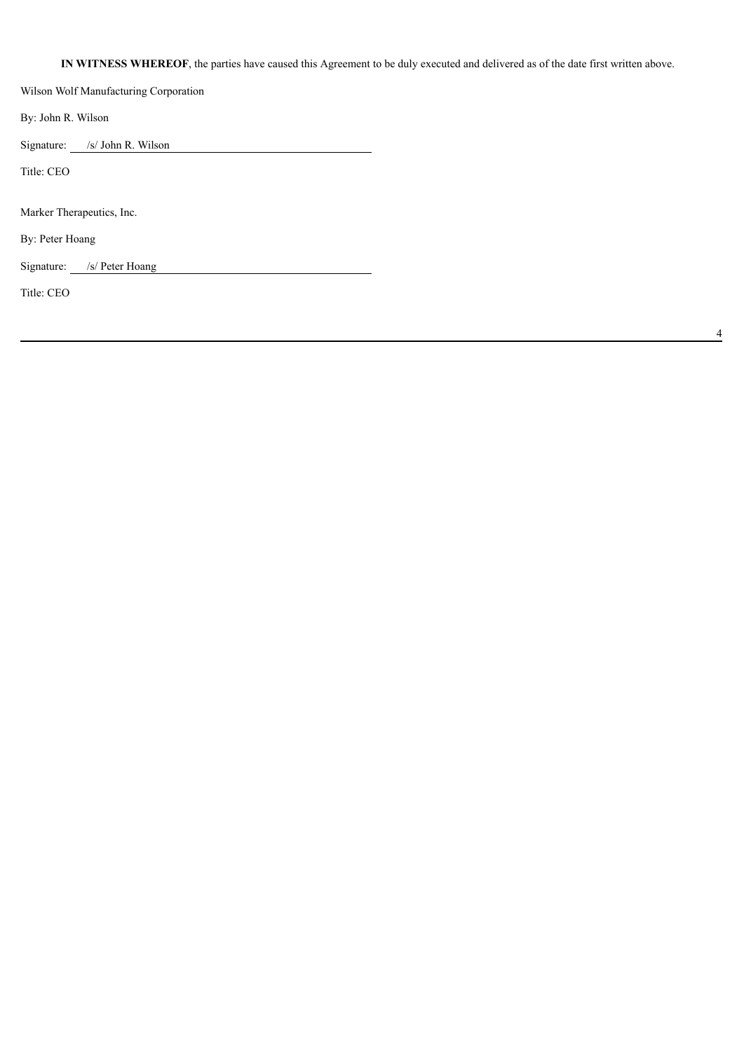# **IN WITNESS WHEREOF**, the parties have caused this Agreement to be duly executed and delivered as of the date first written above.

Wilson Wolf Manufacturing Corporation By: John R. Wilson Signature: /s/ John R. Wilson Title: CEO Marker Therapeutics, Inc. By: Peter Hoang Signature: /s/ Peter Hoang Title: CEO

4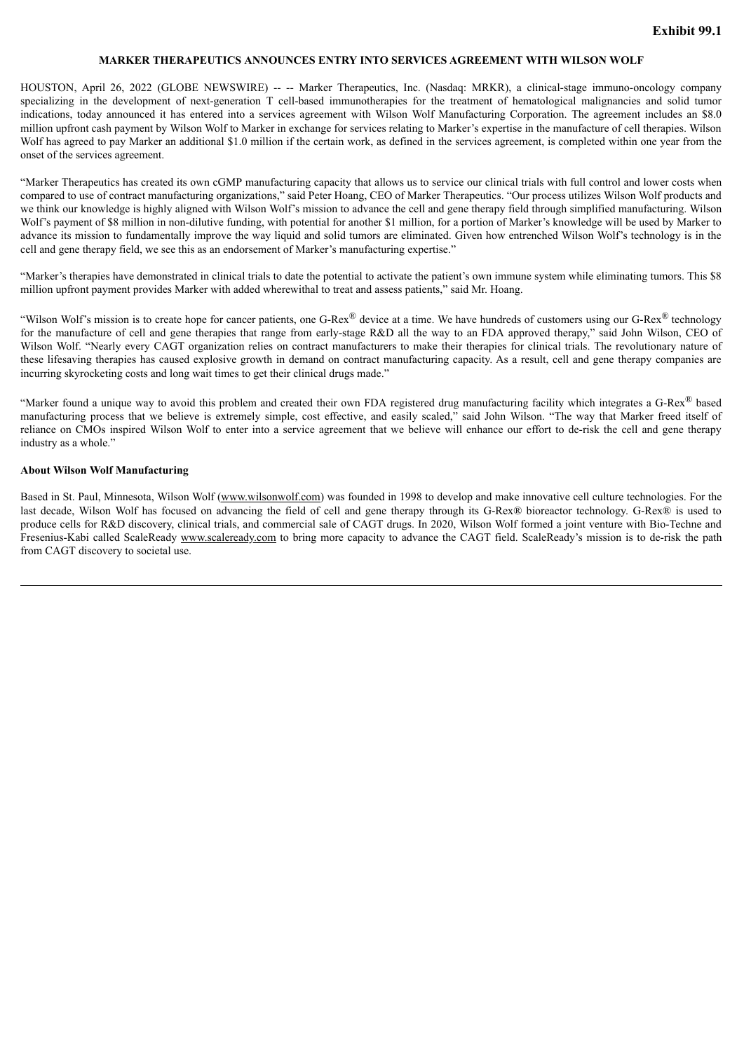#### **MARKER THERAPEUTICS ANNOUNCES ENTRY INTO SERVICES AGREEMENT WITH WILSON WOLF**

<span id="page-8-0"></span>HOUSTON, April 26, 2022 (GLOBE NEWSWIRE) -- -- Marker Therapeutics, Inc. (Nasdaq: MRKR), a clinical-stage immuno-oncology company specializing in the development of next-generation T cell-based immunotherapies for the treatment of hematological malignancies and solid tumor indications, today announced it has entered into a services agreement with Wilson Wolf Manufacturing Corporation. The agreement includes an \$8.0 million upfront cash payment by Wilson Wolf to Marker in exchange for services relating to Marker's expertise in the manufacture of cell therapies. Wilson Wolf has agreed to pay Marker an additional \$1.0 million if the certain work, as defined in the services agreement, is completed within one year from the onset of the services agreement.

"Marker Therapeutics has created its own cGMP manufacturing capacity that allows us to service our clinical trials with full control and lower costs when compared to use of contract manufacturing organizations," said Peter Hoang, CEO of Marker Therapeutics. "Our process utilizes Wilson Wolf products and we think our knowledge is highly aligned with Wilson Wolf's mission to advance the cell and gene therapy field through simplified manufacturing. Wilson Wolf's payment of \$8 million in non-dilutive funding, with potential for another \$1 million, for a portion of Marker's knowledge will be used by Marker to advance its mission to fundamentally improve the way liquid and solid tumors are eliminated. Given how entrenched Wilson Wolf's technology is in the cell and gene therapy field, we see this as an endorsement of Marker's manufacturing expertise."

"Marker's therapies have demonstrated in clinical trials to date the potential to activate the patient's own immune system while eliminating tumors. This \$8 million upfront payment provides Marker with added wherewithal to treat and assess patients," said Mr. Hoang.

"Wilson Wolf's mission is to create hope for cancer patients, one G-Rex<sup>®</sup> device at a time. We have hundreds of customers using our G-Rex<sup>®</sup> technology for the manufacture of cell and gene therapies that range from early-stage R&D all the way to an FDA approved therapy," said John Wilson, CEO of Wilson Wolf. "Nearly every CAGT organization relies on contract manufacturers to make their therapies for clinical trials. The revolutionary nature of these lifesaving therapies has caused explosive growth in demand on contract manufacturing capacity. As a result, cell and gene therapy companies are incurring skyrocketing costs and long wait times to get their clinical drugs made."

"Marker found a unique way to avoid this problem and created their own FDA registered drug manufacturing facility which integrates a G-Rex® based manufacturing process that we believe is extremely simple, cost effective, and easily scaled," said John Wilson. "The way that Marker freed itself of reliance on CMOs inspired Wilson Wolf to enter into a service agreement that we believe will enhance our effort to de-risk the cell and gene therapy industry as a whole."

#### **About Wilson Wolf Manufacturing**

Based in St. Paul, Minnesota, Wilson Wolf (www.wilsonwolf.com) was founded in 1998 to develop and make innovative cell culture technologies. For the last decade, Wilson Wolf has focused on advancing the field of cell and gene therapy through its G-Rex® bioreactor technology. G-Rex® is used to produce cells for R&D discovery, clinical trials, and commercial sale of CAGT drugs. In 2020, Wilson Wolf formed a joint venture with Bio-Techne and Fresenius-Kabi called ScaleReady www.scaleready.com to bring more capacity to advance the CAGT field. ScaleReady's mission is to de-risk the path from CAGT discovery to societal use.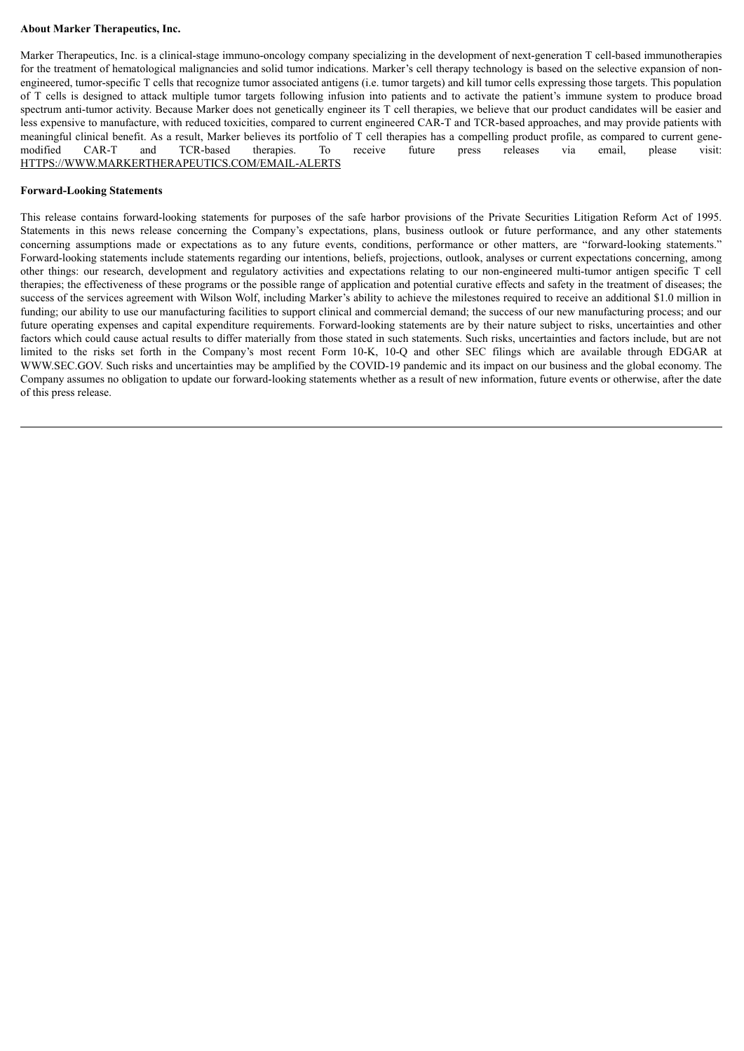#### **About Marker Therapeutics, Inc.**

Marker Therapeutics, Inc. is a clinical-stage immuno-oncology company specializing in the development of next-generation T cell-based immunotherapies for the treatment of hematological malignancies and solid tumor indications. Marker's cell therapy technology is based on the selective expansion of nonengineered, tumor-specific T cells that recognize tumor associated antigens (i.e. tumor targets) and kill tumor cells expressing those targets. This population of T cells is designed to attack multiple tumor targets following infusion into patients and to activate the patient's immune system to produce broad spectrum anti-tumor activity. Because Marker does not genetically engineer its T cell therapies, we believe that our product candidates will be easier and less expensive to manufacture, with reduced toxicities, compared to current engineered CAR-T and TCR-based approaches, and may provide patients with meaningful clinical benefit. As a result, Marker believes its portfolio of T cell therapies has a compelling product profile, as compared to current genemodified CAR-T and TCR-based therapies. To receive future press releases via email, please visit: HTTPS://WWW.MARKERTHERAPEUTICS.COM/EMAIL-ALERTS

#### **Forward-Looking Statements**

This release contains forward-looking statements for purposes of the safe harbor provisions of the Private Securities Litigation Reform Act of 1995. Statements in this news release concerning the Company's expectations, plans, business outlook or future performance, and any other statements concerning assumptions made or expectations as to any future events, conditions, performance or other matters, are "forward-looking statements." Forward-looking statements include statements regarding our intentions, beliefs, projections, outlook, analyses or current expectations concerning, among other things: our research, development and regulatory activities and expectations relating to our non-engineered multi-tumor antigen specific T cell therapies; the effectiveness of these programs or the possible range of application and potential curative effects and safety in the treatment of diseases; the success of the services agreement with Wilson Wolf, including Marker's ability to achieve the milestones required to receive an additional \$1.0 million in funding; our ability to use our manufacturing facilities to support clinical and commercial demand; the success of our new manufacturing process; and our future operating expenses and capital expenditure requirements. Forward-looking statements are by their nature subject to risks, uncertainties and other factors which could cause actual results to differ materially from those stated in such statements. Such risks, uncertainties and factors include, but are not limited to the risks set forth in the Company's most recent Form 10-K, 10-Q and other SEC filings which are available through EDGAR at WWW.SEC.GOV. Such risks and uncertainties may be amplified by the COVID-19 pandemic and its impact on our business and the global economy. The Company assumes no obligation to update our forward-looking statements whether as a result of new information, future events or otherwise, after the date of this press release.